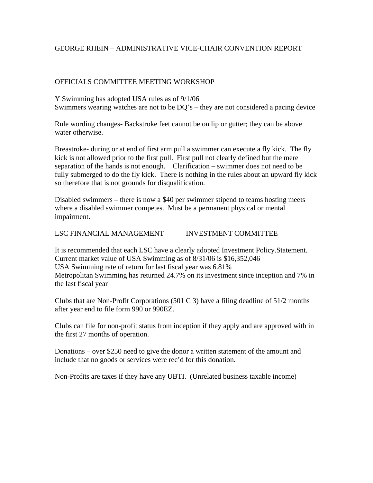# GEORGE RHEIN – ADMINISTRATIVE VICE-CHAIR CONVENTION REPORT

### OFFICIALS COMMITTEE MEETING WORKSHOP

Y Swimming has adopted USA rules as of 9/1/06 Swimmers wearing watches are not to be DQ's – they are not considered a pacing device

Rule wording changes- Backstroke feet cannot be on lip or gutter; they can be above water otherwise.

Breastroke- during or at end of first arm pull a swimmer can execute a fly kick. The fly kick is not allowed prior to the first pull. First pull not clearly defined but the mere separation of the hands is not enough. Clarification – swimmer does not need to be fully submerged to do the fly kick. There is nothing in the rules about an upward fly kick so therefore that is not grounds for disqualification.

Disabled swimmers – there is now a \$40 per swimmer stipend to teams hosting meets where a disabled swimmer competes. Must be a permanent physical or mental impairment.

# LSC FINANCIAL MANAGEMENT INVESTMENT COMMITTEE

It is recommended that each LSC have a clearly adopted Investment Policy.Statement. Current market value of USA Swimming as of 8/31/06 is \$16,352,046 USA Swimming rate of return for last fiscal year was 6.81% Metropolitan Swimming has returned 24.7% on its investment since inception and 7% in the last fiscal year

Clubs that are Non-Profit Corporations  $(501 C 3)$  have a filing deadline of  $51/2$  months after year end to file form 990 or 990EZ.

Clubs can file for non-profit status from inception if they apply and are approved with in the first 27 months of operation.

Donations – over \$250 need to give the donor a written statement of the amount and include that no goods or services were rec'd for this donation.

Non-Profits are taxes if they have any UBTI. (Unrelated business taxable income)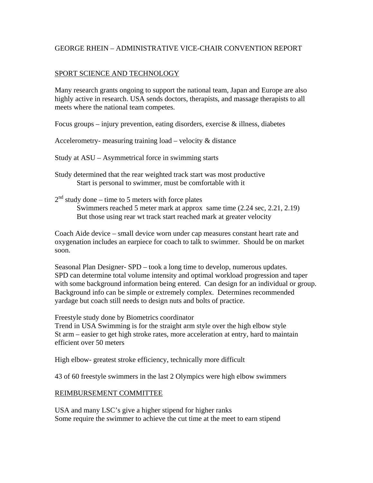## GEORGE RHEIN – ADMINISTRATIVE VICE-CHAIR CONVENTION REPORT

### SPORT SCIENCE AND TECHNOLOGY

Many research grants ongoing to support the national team, Japan and Europe are also highly active in research. USA sends doctors, therapists, and massage therapists to all meets where the national team competes.

Focus groups – injury prevention, eating disorders, exercise  $\&$  illness, diabetes

Accelerometry- measuring training load – velocity & distance

Study at ASU – Asymmetrical force in swimming starts

Study determined that the rear weighted track start was most productive Start is personal to swimmer, must be comfortable with it

 $2<sup>nd</sup>$  study done – time to 5 meters with force plates Swimmers reached 5 meter mark at approx same time (2.24 sec, 2.21, 2.19) But those using rear wt track start reached mark at greater velocity

Coach Aide device – small device worn under cap measures constant heart rate and oxygenation includes an earpiece for coach to talk to swimmer. Should be on market soon.

Seasonal Plan Designer- SPD – took a long time to develop, numerous updates. SPD can determine total volume intensity and optimal workload progression and taper with some background information being entered. Can design for an individual or group. Background info can be simple or extremely complex. Determines recommended yardage but coach still needs to design nuts and bolts of practice.

Freestyle study done by Biometrics coordinator

Trend in USA Swimming is for the straight arm style over the high elbow style St arm – easier to get high stroke rates, more acceleration at entry, hard to maintain efficient over 50 meters

High elbow- greatest stroke efficiency, technically more difficult

43 of 60 freestyle swimmers in the last 2 Olympics were high elbow swimmers

### REIMBURSEMENT COMMITTEE

USA and many LSC's give a higher stipend for higher ranks Some require the swimmer to achieve the cut time at the meet to earn stipend